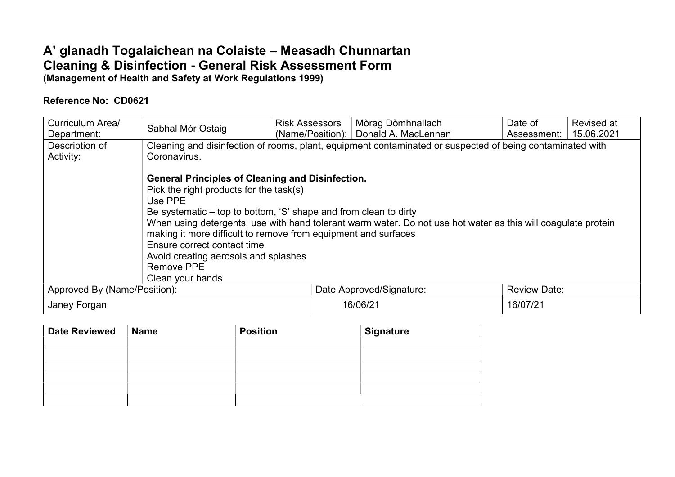## A' glanadh Togalaichean na Colaiste – Measadh Chunnartan Cleaning & Disinfection - General Risk Assessment Form (Management of Health and Safety at Work Regulations 1999)

## Reference No: CD0621

| Curriculum Area/             | Sabhal Mòr Ostaig                                                                                                                                                                                                                                                                                                                               | <b>Risk Assessors</b> | Mòrag Dòmhnallach                                                                                             | Date of             | Revised at |
|------------------------------|-------------------------------------------------------------------------------------------------------------------------------------------------------------------------------------------------------------------------------------------------------------------------------------------------------------------------------------------------|-----------------------|---------------------------------------------------------------------------------------------------------------|---------------------|------------|
| Department:                  |                                                                                                                                                                                                                                                                                                                                                 |                       | (Name/Position):   Donald A. MacLennan                                                                        | Assessment:         | 15.06.2021 |
| Description of               |                                                                                                                                                                                                                                                                                                                                                 |                       | Cleaning and disinfection of rooms, plant, equipment contaminated or suspected of being contaminated with     |                     |            |
| Activity:                    | Coronavirus.                                                                                                                                                                                                                                                                                                                                    |                       |                                                                                                               |                     |            |
|                              | <b>General Principles of Cleaning and Disinfection.</b><br>Pick the right products for the task(s)<br>Use PPE<br>Be systematic – top to bottom, 'S' shape and from clean to dirty<br>making it more difficult to remove from equipment and surfaces<br>Ensure correct contact time<br>Avoid creating aerosols and splashes<br><b>Remove PPE</b> |                       | When using detergents, use with hand tolerant warm water. Do not use hot water as this will coagulate protein |                     |            |
|                              | Clean your hands                                                                                                                                                                                                                                                                                                                                |                       |                                                                                                               |                     |            |
| Approved By (Name/Position): |                                                                                                                                                                                                                                                                                                                                                 |                       | Date Approved/Signature:                                                                                      | <b>Review Date:</b> |            |
| Janey Forgan                 |                                                                                                                                                                                                                                                                                                                                                 | 16/06/21              | 16/07/21                                                                                                      |                     |            |

| <b>Date Reviewed</b> | <b>Name</b> | <b>Position</b> | <b>Signature</b> |
|----------------------|-------------|-----------------|------------------|
|                      |             |                 |                  |
|                      |             |                 |                  |
|                      |             |                 |                  |
|                      |             |                 |                  |
|                      |             |                 |                  |
|                      |             |                 |                  |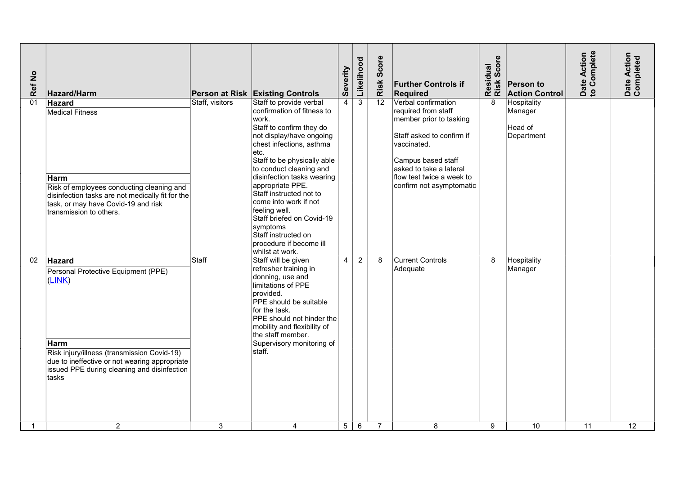| Ref No | Hazard/Harm                                                                                                                                                                                                             |                 | Person at Risk Existing Controls                                                                                                                                                                                                                                                                                                                                                                                                                          | Severity       | Likelihood     | Score<br>Risk   | <b>Further Controls if</b><br>Required                                                                                                                                                                                      | Residual<br>Risk Score | <b>Person to</b><br><b>Action Control</b>       | ate Action<br>Complete<br>Date<br>to Co | Date Action<br>Completed |  |
|--------|-------------------------------------------------------------------------------------------------------------------------------------------------------------------------------------------------------------------------|-----------------|-----------------------------------------------------------------------------------------------------------------------------------------------------------------------------------------------------------------------------------------------------------------------------------------------------------------------------------------------------------------------------------------------------------------------------------------------------------|----------------|----------------|-----------------|-----------------------------------------------------------------------------------------------------------------------------------------------------------------------------------------------------------------------------|------------------------|-------------------------------------------------|-----------------------------------------|--------------------------|--|
| 01     | Hazard<br><b>Medical Fitness</b><br>Harm<br>Risk of employees conducting cleaning and<br>disinfection tasks are not medically fit for the<br>task, or may have Covid-19 and risk<br>transmission to others.             | Staff, visitors | Staff to provide verbal<br>confirmation of fitness to<br>work.<br>Staff to confirm they do<br>not display/have ongoing<br>chest infections, asthma<br>etc.<br>Staff to be physically able<br>to conduct cleaning and<br>disinfection tasks wearing<br>appropriate PPE.<br>Staff instructed not to<br>come into work if not<br>feeling well.<br>Staff briefed on Covid-19<br>symptoms<br>Staff instructed on<br>procedure if become ill<br>whilst at work. | $\overline{4}$ | $\overline{3}$ | $\overline{12}$ | Verbal confirmation<br>required from staff<br>member prior to tasking<br>Staff asked to confirm if<br>vaccinated.<br>Campus based staff<br>asked to take a lateral<br>flow test twice a week to<br>confirm not asymptomatic | 8                      | Hospitality<br>Manager<br>Head of<br>Department |                                         |                          |  |
| 02     | Hazard<br>Personal Protective Equipment (PPE)<br>(LINK)<br>Harm<br>Risk injury/illness (transmission Covid-19)<br>due to ineffective or not wearing appropriate<br>issued PPE during cleaning and disinfection<br>tasks | Staff           | Staff will be given<br>refresher training in<br>donning, use and<br>limitations of PPE<br>provided.<br>PPE should be suitable<br>for the task.<br>PPE should not hinder the<br>mobility and flexibility of<br>the staff member.<br>Supervisory monitoring of<br>staff.                                                                                                                                                                                    | 4 <sup>1</sup> | $\overline{2}$ | 8               | <b>Current Controls</b><br>Adequate                                                                                                                                                                                         | 8                      | Hospitality<br>Manager                          |                                         |                          |  |
|        | $\overline{2}$                                                                                                                                                                                                          | 3               | $\overline{4}$                                                                                                                                                                                                                                                                                                                                                                                                                                            | 5 <sup>5</sup> | 6              | $\overline{7}$  | 8                                                                                                                                                                                                                           | 9                      | 10                                              | 11                                      | 12                       |  |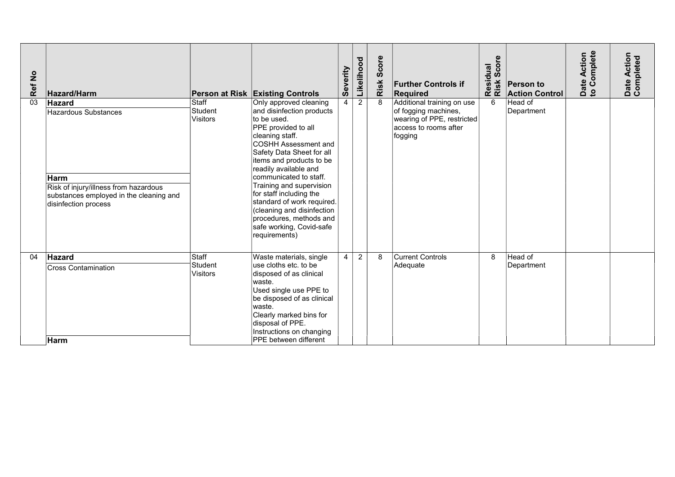| Ref No          | Hazard/Harm                                                                                                                                                      |                                     | Person at Risk Existing Controls                                                                                                                                                                                                                                                                                                                                                                                                             | Severity       | Likelihood     | core<br><sub>v</sub><br>Risk | <b>Further Controls if</b><br>Required                                                                               | Score<br>Residual<br>Risk Scor | <b>Person to</b><br><b>Action Control</b> | Complete<br>Action<br>Date<br>to Co | Date Action<br>Completed |
|-----------------|------------------------------------------------------------------------------------------------------------------------------------------------------------------|-------------------------------------|----------------------------------------------------------------------------------------------------------------------------------------------------------------------------------------------------------------------------------------------------------------------------------------------------------------------------------------------------------------------------------------------------------------------------------------------|----------------|----------------|------------------------------|----------------------------------------------------------------------------------------------------------------------|--------------------------------|-------------------------------------------|-------------------------------------|--------------------------|
| $\overline{03}$ | <b>Hazard</b><br><b>Hazardous Substances</b><br>Harm<br>Risk of injury/illness from hazardous<br>substances employed in the cleaning and<br>disinfection process | Staff<br>Student<br><b>Visitors</b> | Only approved cleaning<br>and disinfection products<br>to be used.<br>PPE provided to all<br>cleaning staff.<br>COSHH Assessment and<br>Safety Data Sheet for all<br>litems and products to be<br>readily available and<br>communicated to staff.<br>Training and supervision<br>for staff including the<br>standard of work required.<br>(cleaning and disinfection<br>procedures, methods and<br>safe working, Covid-safe<br>requirements) | 4 <sup>1</sup> | $\overline{2}$ |                              | Additional training on use<br>of fogging machines,<br>wearing of PPE, restricted<br>access to rooms after<br>fogging | 6                              | Head of<br>Department                     |                                     |                          |
| 04              | Hazard<br><b>Cross Contamination</b><br><b>Harm</b>                                                                                                              | Staff<br>Student<br><b>Visitors</b> | Waste materials, single<br>use cloths etc. to be<br>disposed of as clinical<br>waste.<br>Used single use PPE to<br>be disposed of as clinical<br>waste.<br>Clearly marked bins for<br>disposal of PPE.<br>Instructions on changing<br><b>PPE</b> between different                                                                                                                                                                           | $\vert$ 4      | 2              | 8                            | <b>Current Controls</b><br>Adequate                                                                                  | 8                              | Head of<br>Department                     |                                     |                          |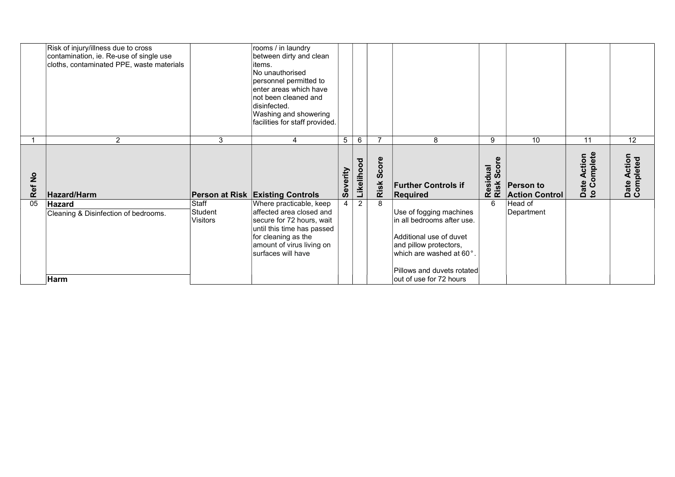|               | Risk of injury/illness due to cross<br>contamination, ie. Re-use of single use<br>cloths, contaminated PPE, waste materials |                              | rooms / in laundry<br>between dirty and clean<br>litems.<br>No unauthorised<br>personnel permitted to<br>enter areas which have<br>Inot been cleaned and<br>disinfected.<br>Washing and showering<br>facilities for staff provided. |                |                |           |                                                                                                                                                                                                            |                  |                                           |                       |                          |
|---------------|-----------------------------------------------------------------------------------------------------------------------------|------------------------------|-------------------------------------------------------------------------------------------------------------------------------------------------------------------------------------------------------------------------------------|----------------|----------------|-----------|------------------------------------------------------------------------------------------------------------------------------------------------------------------------------------------------------------|------------------|-------------------------------------------|-----------------------|--------------------------|
|               | $\overline{2}$                                                                                                              | 3                            | 4                                                                                                                                                                                                                                   | 5 <sup>1</sup> | 6              |           | 8                                                                                                                                                                                                          | 9                | 10 <sup>°</sup>                           | 11                    | 12                       |
| $\frac{1}{2}$ |                                                                                                                             |                              |                                                                                                                                                                                                                                     |                | Likelihood     | core<br>ທ |                                                                                                                                                                                                            | Score<br>esidual |                                           | omplete<br>ction<br>⋖ | Date Action<br>Completed |
| Ref           | Hazard/Harm                                                                                                                 |                              | <b>Person at Risk Existing Controls</b>                                                                                                                                                                                             | Severity       |                | Risk      | <b>Further Controls if</b><br><b>Required</b>                                                                                                                                                              | Resia<br>Risk    | <b>Person to</b><br><b>Action Control</b> | Date<br>to Co         |                          |
| 05            | Hazard<br>Cleaning & Disinfection of bedrooms.<br>Harm                                                                      | Staff<br>Student<br>Visitors | Where practicable, keep<br>affected area closed and<br>secure for 72 hours, wait<br>until this time has passed<br>for cleaning as the<br>amount of virus living on<br>surfaces will have                                            | 4              | $\overline{2}$ |           | Use of fogging machines<br>in all bedrooms after use.<br>Additional use of duvet<br>and pillow protectors,<br>which are washed at 60 $^{\circ}$ .<br>Pillows and duvets rotated<br>out of use for 72 hours | 6                | Head of<br>Department                     |                       |                          |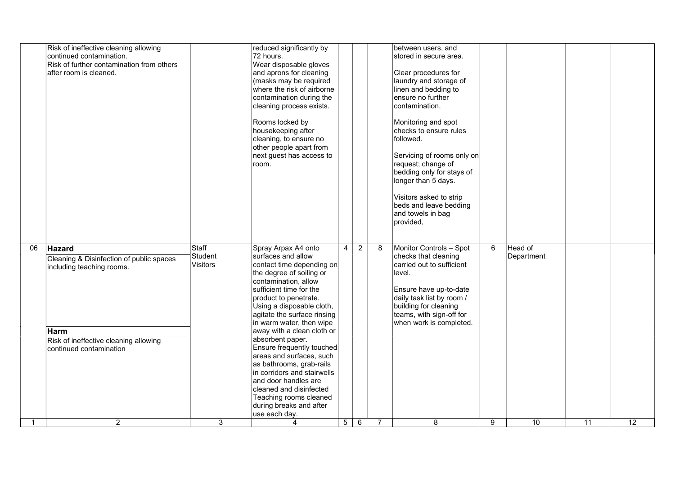|    | Risk of ineffective cleaning allowing<br>continued contamination.<br>Risk of further contamination from others<br>after room is cleaned.                    |                                     | reduced significantly by<br>72 hours.<br>Wear disposable gloves<br>and aprons for cleaning<br>(masks may be required<br>where the risk of airborne<br>contamination during the<br>cleaning process exists.<br>Rooms locked by<br>housekeeping after<br>cleaning, to ensure no<br>other people apart from<br>next guest has access to<br>room.                                                                                                                                                                                                                         |                |                |                | between users, and<br>stored in secure area.<br>Clear procedures for<br>laundry and storage of<br>linen and bedding to<br>ensure no further<br>contamination.<br>Monitoring and spot<br>checks to ensure rules<br>followed.<br>Servicing of rooms only on<br>request; change of<br>bedding only for stays of<br>longer than 5 days.<br>Visitors asked to strip<br>beds and leave bedding<br>and towels in bag<br>provided, |   |                       |    |    |
|----|-------------------------------------------------------------------------------------------------------------------------------------------------------------|-------------------------------------|-----------------------------------------------------------------------------------------------------------------------------------------------------------------------------------------------------------------------------------------------------------------------------------------------------------------------------------------------------------------------------------------------------------------------------------------------------------------------------------------------------------------------------------------------------------------------|----------------|----------------|----------------|----------------------------------------------------------------------------------------------------------------------------------------------------------------------------------------------------------------------------------------------------------------------------------------------------------------------------------------------------------------------------------------------------------------------------|---|-----------------------|----|----|
| 06 | Hazard<br>Cleaning & Disinfection of public spaces<br>including teaching rooms.<br>Harm<br>Risk of ineffective cleaning allowing<br>continued contamination | Staff<br>Student<br><b>Visitors</b> | Spray Arpax A4 onto<br>surfaces and allow<br>contact time depending on<br>the degree of soiling or<br>contamination, allow<br>sufficient time for the<br>product to penetrate.<br>Using a disposable cloth,<br>agitate the surface rinsing<br>in warm water, then wipe<br>away with a clean cloth or<br>absorbent paper.<br>Ensure frequently touched<br>areas and surfaces, such<br>as bathrooms, grab-rails<br>in corridors and stairwells<br>and door handles are<br>cleaned and disinfected<br>Teaching rooms cleaned<br>during breaks and after<br>use each day. | $\overline{4}$ | $\overline{2}$ | 8              | Monitor Controls - Spot<br>checks that cleaning<br>carried out to sufficient<br>level.<br>Ensure have up-to-date<br>daily task list by room /<br>building for cleaning<br>teams, with sign-off for<br>when work is completed.                                                                                                                                                                                              | 6 | Head of<br>Department |    |    |
| 1  | $\overline{2}$                                                                                                                                              | 3                                   | 4                                                                                                                                                                                                                                                                                                                                                                                                                                                                                                                                                                     | 5 <sup>5</sup> | 6              | $\overline{7}$ | 8                                                                                                                                                                                                                                                                                                                                                                                                                          | 9 | 10                    | 11 | 12 |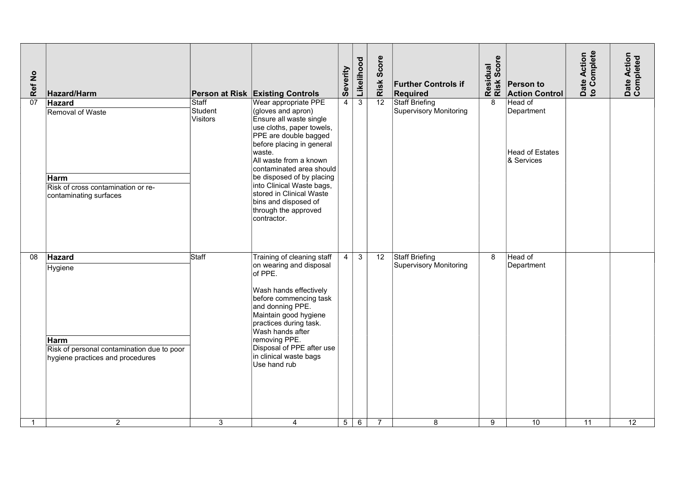| Ref No | Hazard/Harm                                                                                                 |                                     | Person at Risk Existing Controls                                                                                                                                                                                                                                                                                                                                              | Severity        | Likelihood          | Score<br>Risk   | <b>Further Controls if</b><br>Required          | Residual<br>Risk Score | Person to<br><b>Action Control</b>                     | Date Action<br>to Complete | Date Action<br>Completed |  |
|--------|-------------------------------------------------------------------------------------------------------------|-------------------------------------|-------------------------------------------------------------------------------------------------------------------------------------------------------------------------------------------------------------------------------------------------------------------------------------------------------------------------------------------------------------------------------|-----------------|---------------------|-----------------|-------------------------------------------------|------------------------|--------------------------------------------------------|----------------------------|--------------------------|--|
| 07     | Hazard<br>Removal of Waste<br>Harm<br>Risk of cross contamination or re-<br>contaminating surfaces          | Staff<br>Student<br><b>Visitors</b> | Wear appropriate PPE<br>(gloves and apron)<br>Ensure all waste single<br>use cloths, paper towels,<br>PPE are double bagged<br>before placing in general<br>waste.<br>All waste from a known<br>contaminated area should<br>be disposed of by placing<br>into Clinical Waste bags,<br>stored in Clinical Waste<br>bins and disposed of<br>through the approved<br>contractor. | $\overline{4}$  | $\overline{\omega}$ | $\overline{12}$ | Staff Briefing<br><b>Supervisory Monitoring</b> | 8                      | Head of<br>Department<br>Head of Estates<br>& Services |                            |                          |  |
| 08     | Hazard<br>Hygiene<br>Harm<br>Risk of personal contamination due to poor<br>hygiene practices and procedures | Staff                               | Training of cleaning staff<br>on wearing and disposal<br>of PPE.<br>Wash hands effectively<br>before commencing task<br>and donning PPE.<br>Maintain good hygiene<br>practices during task.<br>Wash hands after<br>removing PPE.<br>Disposal of PPE after use<br>in clinical waste bags<br>Use hand rub                                                                       | 4               | 3 <sup>1</sup>      | $\overline{12}$ | Staff Briefing<br><b>Supervisory Monitoring</b> | 8                      | Head of<br>Department                                  |                            |                          |  |
| -1     | 2                                                                                                           | 3                                   | $\overline{4}$                                                                                                                                                                                                                                                                                                                                                                | $5\phantom{.0}$ | 6                   | $\overline{7}$  | 8                                               | 9                      | $\overline{10}$                                        | 11                         | $\overline{12}$          |  |